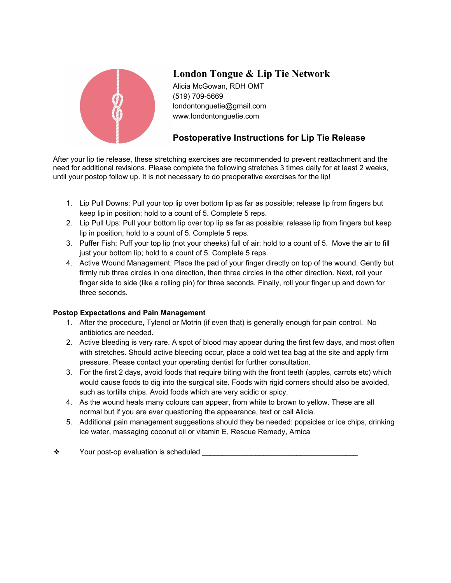

## **London Tongue & Lip Tie Network**

Alicia McGowan, RDH OMT (519) 709-5669 londontonguetie@gmail.com www.londontonguetie.com

## **Postoperative Instructions for Lip Tie Release**

After your lip tie release, these stretching exercises are recommended to prevent reattachment and the need for additional revisions. Please complete the following stretches 3 times daily for at least 2 weeks, until your postop follow up. It is not necessary to do preoperative exercises for the lip!

- 1. Lip Pull Downs: Pull your top lip over bottom lip as far as possible; release lip from fingers but keep lip in position; hold to a count of 5. Complete 5 reps.
- 2. Lip Pull Ups: Pull your bottom lip over top lip as far as possible; release lip from fingers but keep lip in position; hold to a count of 5. Complete 5 reps.
- 3. Puffer Fish: Puff your top lip (not your cheeks) full of air; hold to a count of 5. Move the air to fill just your bottom lip; hold to a count of 5. Complete 5 reps.
- 4. Active Wound Management: Place the pad of your finger directly on top of the wound. Gently but firmly rub three circles in one direction, then three circles in the other direction. Next, roll your finger side to side (like a rolling pin) for three seconds. Finally, roll your finger up and down for three seconds.

## **Postop Expectations and Pain Management**

- 1. After the procedure, Tylenol or Motrin (if even that) is generally enough for pain control. No antibiotics are needed.
- 2. Active bleeding is very rare. A spot of blood may appear during the first few days, and most often with stretches. Should active bleeding occur, place a cold wet tea bag at the site and apply firm pressure. Please contact your operating dentist for further consultation.
- 3. For the first 2 days, avoid foods that require biting with the front teeth (apples, carrots etc) which would cause foods to dig into the surgical site. Foods with rigid corners should also be avoided, such as tortilla chips. Avoid foods which are very acidic or spicy.
- 4. As the wound heals many colours can appear, from white to brown to yellow. These are all normal but if you are ever questioning the appearance, text or call Alicia.
- 5. Additional pain management suggestions should they be needed: popsicles or ice chips, drinking ice water, massaging coconut oil or vitamin E, Rescue Remedy, Arnica
- $\diamond$  Your post-op evaluation is scheduled